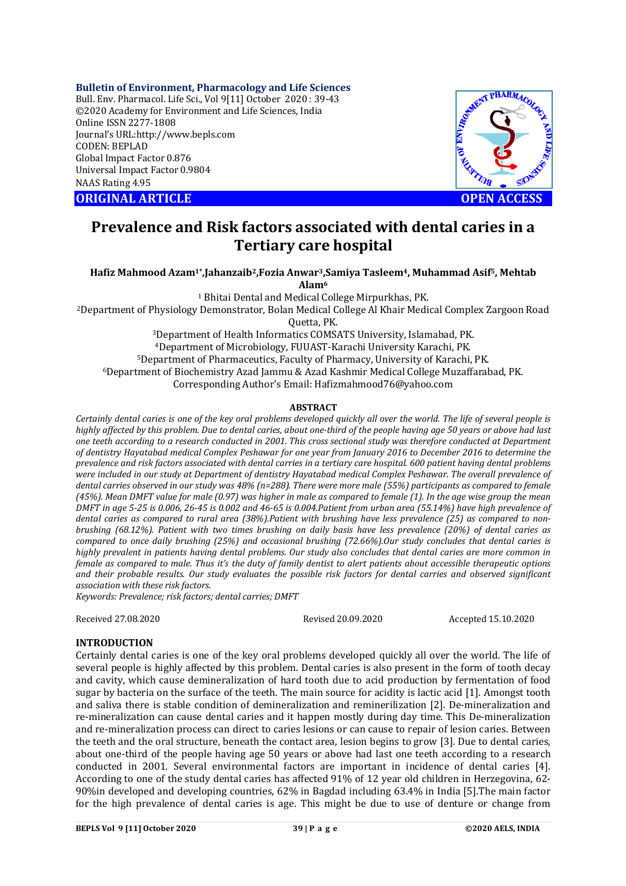# **Bulletin of Environment, Pharmacology and Life Sciences**

Bull. Env. Pharmacol. Life Sci., Vol 9[11] October 2020 : 39-43 ©2020 Academy for Environment and Life Sciences, India Online ISSN 2277-1808 Journal's URL:<http://www.bepls.com> CODEN: BEPLAD Global Impact Factor 0.876 Universal Impact Factor 0.9804 NAAS Rating 4.95

**ORIGINAL ARTICLE OPEN ACCESS**



# **Prevalence and Risk factors associated with dental caries in a Tertiary care hospital**

**Hafiz Mahmood Azam1\* ,Jahanzaib2,Fozia Anwar3,Samiya Tasleem4, Muhammad Asif5, Mehtab Alam<sup>6</sup>**

 Bhitai Dental and Medical College Mirpurkhas, PK. Department of Physiology Demonstrator, Bolan Medical College Al Khair Medical Complex Zargoon Road Quetta, PK. Department of Health Informatics COMSATS University, Islamabad, PK.

Department of Microbiology, FUUAST-Karachi University Karachi, PK. Department of Pharmaceutics, Faculty of Pharmacy, University of Karachi, PK. Department of Biochemistry Azad Jammu & Azad Kashmir Medical College Muzaffarabad, PK. Corresponding Author's Email: [Hafizmahmood76@yahoo.com](mailto:Hafizmahmood76@yahoo.com)

### **ABSTRACT**

*Certainly dental caries is one of the key oral problems developed quickly all over the world. The life of several people is highly affected by this problem. Due to dental caries, about one-third of the people having age 50 years or above had last one teeth according to a research conducted in 2001. This cross sectional study was therefore conducted at Department of dentistry Hayatabad medical Complex Peshawar for one year from January 2016 to December 2016 to determine the prevalence and risk factors associated with dental carries in a tertiary care hospital. 600 patient having dental problems were included in our study at Department of dentistry Hayatabad medical Complex Peshawar. The overall prevalence of dental carries observed in our study was 48% (n=288). There were more male (55%) participants as compared to female (45%). Mean DMFT value for male (0.97) was higher in male as compared to female (1). In the age wise group the mean DMFT in age 5-25 is 0.006, 26-45 is 0.002 and 46-65 is 0.004.Patient from urban area (55.14%) have high prevalence of dental caries as compared to rural area (38%).Patient with brushing have less prevalence (25) as compared to nonbrushing (68.12%). Patient with two times brushing on daily basis have less prevalence (20%) of dental caries as compared to once daily brushing (25%) and occasional brushing (72.66%).Our study concludes that dental caries is highly prevalent in patients having dental problems. Our study also concludes that dental caries are more common in female as compared to male. Thus it's the duty of family dentist to alert patients about accessible therapeutic options and their probable results. Our study evaluates the possible risk factors for dental carries and observed significant association with these risk factors.*

*Keywords: Prevalence; risk factors; dental carries; DMFT*

Received 27.08.2020 Revised 20.09.2020 Accepted 15.10.2020

# **INTRODUCTION**

Certainly dental caries is one of the key oral problems developed quickly all over the world. The life of several people is highly affected by this problem. Dental caries is also present in the form of tooth decay and cavity, which cause demineralization of hard tooth due to acid production by fermentation of food sugar by bacteria on the surface of the teeth. The main source for acidity is lactic acid [1]. Amongst tooth and saliva there is stable condition of demineralization and reminerilization [2]. De-mineralization and re-mineralization can cause dental caries and it happen mostly during day time. This De-mineralization and re-mineralization process can direct to caries lesions or can cause to repair of lesion caries. Between the teeth and the oral structure, beneath the contact area, lesion begins to grow [3]. Due to dental caries, about one-third of the people having age 50 years or above had last one teeth according to a research conducted in 2001. Several environmental factors are important in incidence of dental caries [4]. According to one of the study dental caries has affected 91% of 12 year old children in Herzegovina, 62- 90%in developed and developing countries, 62% in Bagdad including 63.4% in India [5].The main factor for the high prevalence of dental caries is age. This might be due to use of denture or change from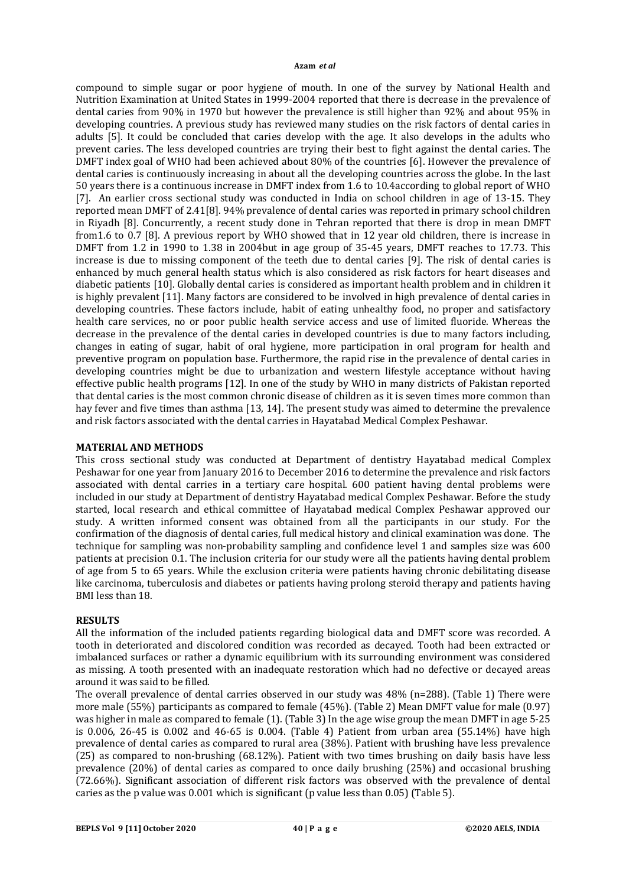compound to simple sugar or poor hygiene of mouth. In one of the survey by National Health and Nutrition Examination at United States in 1999-2004 reported that there is decrease in the prevalence of dental caries from 90% in 1970 but however the prevalence is still higher than 92% and about 95% in developing countries. A previous study has reviewed many studies on the risk factors of dental caries in adults [5]. It could be concluded that caries develop with the age. It also develops in the adults who prevent caries. The less developed countries are trying their best to fight against the dental caries. The DMFT index goal of WHO had been achieved about 80% of the countries [6]. However the prevalence of dental caries is continuously increasing in about all the developing countries across the globe. In the last 50 years there is a continuous increase in DMFT index from 1.6 to 10.4according to global report of WHO [7]. An earlier cross sectional study was conducted in India on school children in age of 13-15. They reported mean DMFT of 2.41[8]. 94% prevalence of dental caries was reported in primary school children in Riyadh [8]. Concurrently, a recent study done in Tehran reported that there is drop in mean DMFT from1.6 to 0.7 [8]. A previous report by WHO showed that in 12 year old children, there is increase in DMFT from 1.2 in 1990 to 1.38 in 2004but in age group of 35-45 years, DMFT reaches to 17.73. This increase is due to missing component of the teeth due to dental caries [9]. The risk of dental caries is enhanced by much general health status which is also considered as risk factors for heart diseases and diabetic patients [10]. Globally dental caries is considered as important health problem and in children it is highly prevalent [11]. Many factors are considered to be involved in high prevalence of dental caries in developing countries. These factors include, habit of eating unhealthy food, no proper and satisfactory health care services, no or poor public health service access and use of limited fluoride. Whereas the decrease in the prevalence of the dental caries in developed countries is due to many factors including, changes in eating of sugar, habit of oral hygiene, more participation in oral program for health and preventive program on population base. Furthermore, the rapid rise in the prevalence of dental caries in developing countries might be due to urbanization and western lifestyle acceptance without having effective public health programs [12]. In one of the study by WHO in many districts of Pakistan reported that dental caries is the most common chronic disease of children as it is seven times more common than hay fever and five times than asthma [13, 14]. The present study was aimed to determine the prevalence and risk factors associated with the dental carries in Hayatabad Medical Complex Peshawar.

# **MATERIAL AND METHODS**

This cross sectional study was conducted at Department of dentistry Hayatabad medical Complex Peshawar for one year from January 2016 to December 2016 to determine the prevalence and risk factors associated with dental carries in a tertiary care hospital. 600 patient having dental problems were included in our study at Department of dentistry Hayatabad medical Complex Peshawar. Before the study started, local research and ethical committee of Hayatabad medical Complex Peshawar approved our study. A written informed consent was obtained from all the participants in our study. For the confirmation of the diagnosis of dental caries, full medical history and clinical examination was done. The technique for sampling was non-probability sampling and confidence level 1 and samples size was 600 patients at precision 0.1. The inclusion criteria for our study were all the patients having dental problem of age from 5 to 65 years. While the exclusion criteria were patients having chronic debilitating disease like carcinoma, tuberculosis and diabetes or patients having prolong steroid therapy and patients having BMI less than 18.

# **RESULTS**

All the information of the included patients regarding biological data and DMFT score was recorded. A tooth in deteriorated and discolored condition was recorded as decayed. Tooth had been extracted or imbalanced surfaces or rather a dynamic equilibrium with its surrounding environment was considered as missing. A tooth presented with an inadequate restoration which had no defective or decayed areas around it was said to be filled.

The overall prevalence of dental carries observed in our study was 48% (n=288). (Table 1) There were more male (55%) participants as compared to female (45%). (Table 2) Mean DMFT value for male (0.97) was higher in male as compared to female (1). (Table 3) In the age wise group the mean DMFT in age 5-25 is 0.006, 26-45 is 0.002 and 46-65 is 0.004. (Table 4) Patient from urban area (55.14%) have high prevalence of dental caries as compared to rural area (38%). Patient with brushing have less prevalence (25) as compared to non-brushing (68.12%). Patient with two times brushing on daily basis have less prevalence (20%) of dental caries as compared to once daily brushing (25%) and occasional brushing (72.66%). Significant association of different risk factors was observed with the prevalence of dental caries as the p value was 0.001 which is significant (p value less than 0.05) (Table 5).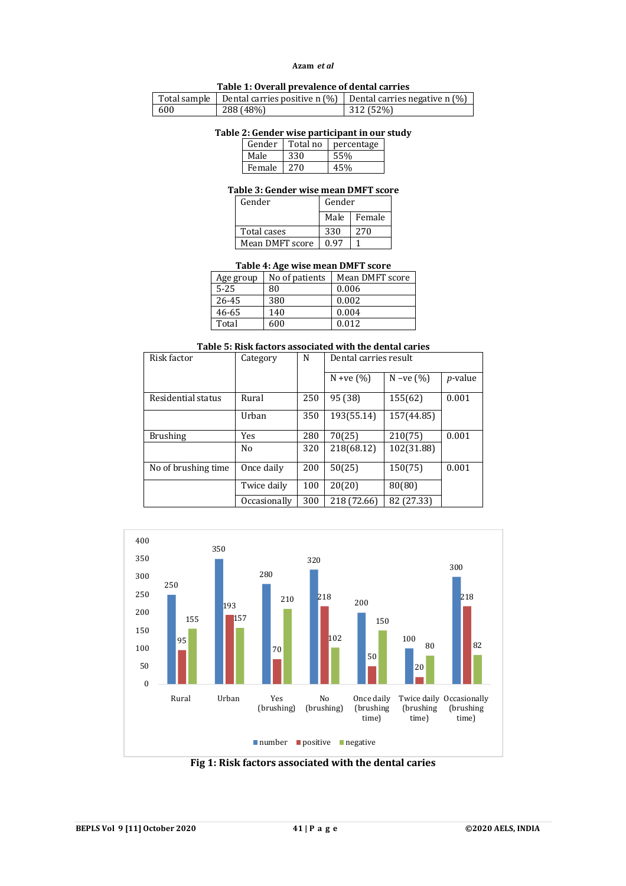### **Table 1: Overall prevalence of dental carries**

|     |           | Total sample   Dental carries positive n $(\%)$   Dental carries negative n $(\%)$ |
|-----|-----------|------------------------------------------------------------------------------------|
| 600 | 288 (48%) | 312 (52%)                                                                          |

# **Table 2: Gender wise participant in our study**

| Gender | l Total no | percentage |
|--------|------------|------------|
| Male   | 330        | 55%        |
| Female | 270        |            |

### **Table 3: Gender wise mean DMFT score**

| Gender          | Gender |          |
|-----------------|--------|----------|
|                 | Male   | l Female |
| Total cases     | 330    | 270      |
| Mean DMFT score | በ 97   |          |

#### **Table 4: Age wise mean DMFT score**

| Age group | No of patients | Mean DMFT score |  |  |  |
|-----------|----------------|-----------------|--|--|--|
| $5 - 25$  | 80             | 0.006           |  |  |  |
| 26-45     | 380            | 0.002           |  |  |  |
| 46-65     | 140            | 0.004           |  |  |  |
| Total     | 600            | 0.012           |  |  |  |

#### **Table 5: Risk factors associated with the dental caries**

| Risk factor          | Category     | N   | Dental carries result |             |                 |
|----------------------|--------------|-----|-----------------------|-------------|-----------------|
|                      |              |     | $N + ve(%)$           | $N - ve(%)$ | <i>p</i> -value |
| Residential status   | Rural        | 250 | 95 (38)               | 155(62)     | 0.001           |
|                      | Urban        | 350 | 193(55.14)            | 157(44.85)  |                 |
| <b>Brushing</b>      | Yes          | 280 | 70(25)                | 210(75)     | 0.001           |
|                      | No           | 320 | 218(68.12)            | 102(31.88)  |                 |
| No of brushing time. | Once daily   | 200 | 50(25)                | 150(75)     | 0.001           |
|                      | Twice daily  | 100 | 20(20)                | 80(80)      |                 |
|                      | Occasionally | 300 | 218 (72.66)           | 82 (27.33)  |                 |



**Fig 1: Risk factors associated with the dental caries**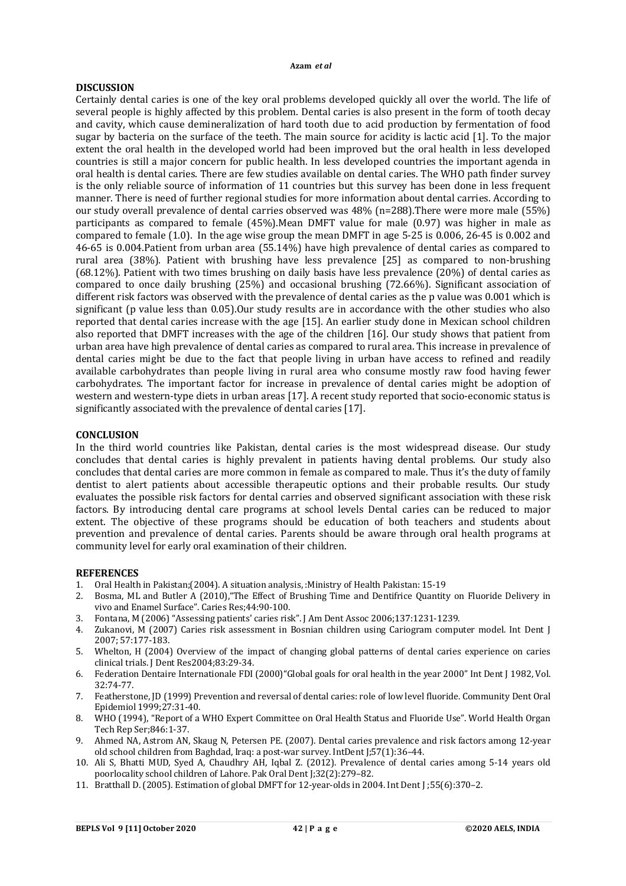# **DISCUSSION**

Certainly dental caries is one of the key oral problems developed quickly all over the world. The life of several people is highly affected by this problem. Dental caries is also present in the form of tooth decay and cavity, which cause demineralization of hard tooth due to acid production by fermentation of food sugar by bacteria on the surface of the teeth. The main source for acidity is lactic acid [1]. To the major extent the oral health in the developed world had been improved but the oral health in less developed countries is still a major concern for public health. In less developed countries the important agenda in oral health is dental caries. There are few studies available on dental caries. The WHO path finder survey is the only reliable source of information of 11 countries but this survey has been done in less frequent manner. There is need of further regional studies for more information about dental carries. According to our study overall prevalence of dental carries observed was 48% (n=288).There were more male (55%) participants as compared to female (45%).Mean DMFT value for male (0.97) was higher in male as compared to female (1.0). In the age wise group the mean DMFT in age 5-25 is 0.006, 26-45 is 0.002 and 46-65 is 0.004.Patient from urban area (55.14%) have high prevalence of dental caries as compared to rural area (38%). Patient with brushing have less prevalence [25] as compared to non-brushing (68.12%). Patient with two times brushing on daily basis have less prevalence (20%) of dental caries as compared to once daily brushing (25%) and occasional brushing (72.66%). Significant association of different risk factors was observed with the prevalence of dental caries as the p value was 0.001 which is significant (p value less than 0.05).Our study results are in accordance with the other studies who also reported that dental caries increase with the age [15]. An earlier study done in Mexican school children also reported that DMFT increases with the age of the children [16]. Our study shows that patient from urban area have high prevalence of dental caries as compared to rural area. This increase in prevalence of dental caries might be due to the fact that people living in urban have access to refined and readily available carbohydrates than people living in rural area who consume mostly raw food having fewer carbohydrates. The important factor for increase in prevalence of dental caries might be adoption of western and western-type diets in urban areas [17]. A recent study reported that socio-economic status is significantly associated with the prevalence of dental caries [17].

# **CONCLUSION**

In the third world countries like Pakistan, dental caries is the most widespread disease. Our study concludes that dental caries is highly prevalent in patients having dental problems. Our study also concludes that dental caries are more common in female as compared to male. Thus it's the duty of family dentist to alert patients about accessible therapeutic options and their probable results. Our study evaluates the possible risk factors for dental carries and observed significant association with these risk factors. By introducing dental care programs at school levels Dental caries can be reduced to major extent. The objective of these programs should be education of both teachers and students about prevention and prevalence of dental caries. Parents should be aware through oral health programs at community level for early oral examination of their children.

# **REFERENCES**

- 1. Oral Health in Pakistan;(2004). A situation analysis, :Ministry of Health Pakistan: 15-19
- 2. Bosma, ML and Butler A (2010),"The Effect of Brushing Time and Dentifrice Quantity on Fluoride Delivery in vivo and Enamel Surface". Caries Res;44:90-100.
- 3. Fontana, M (2006) "Assessing patients' caries risk". J Am Dent Assoc 2006;137:1231-1239.
- 4. Zukanovi, M (2007) Caries risk assessment in Bosnian children using Cariogram computer model. Int Dent J 2007; 57:177-183.
- 5. Whelton, H (2004) Overview of the impact of changing global patterns of dental caries experience on caries clinical trials. J Dent Res2004;83:29-34.
- 6. Federation Dentaire Internationale FDI (2000)"Global goals for oral health in the year 2000" Int Dent J 1982, Vol. 32:74-77.
- 7. Featherstone, JD (1999) Prevention and reversal of dental caries: role of low level fluoride. Community Dent Oral Epidemiol 1999;27:31-40.
- 8. WHO (1994), "Report of a WHO Expert Committee on Oral Health Status and Fluoride Use". World Health Organ Tech Rep Ser;846:1-37.
- 9. Ahmed NA, Astrom AN, Skaug N, Petersen PE. (2007). Dental caries prevalence and risk factors among 12-year old school children from Baghdad, Iraq: a post-war survey. IntDent J;57(1):36–44.
- 10. Ali S, Bhatti MUD, Syed A, Chaudhry AH, Iqbal Z. (2012). Prevalence of dental caries among 5-14 years old poorlocality school children of Lahore. Pak Oral Dent J;32(2):279–82.
- 11. Bratthall D. (2005). Estimation of global DMFT for 12-year-olds in 2004. Int Dent J ;55(6):370–2.